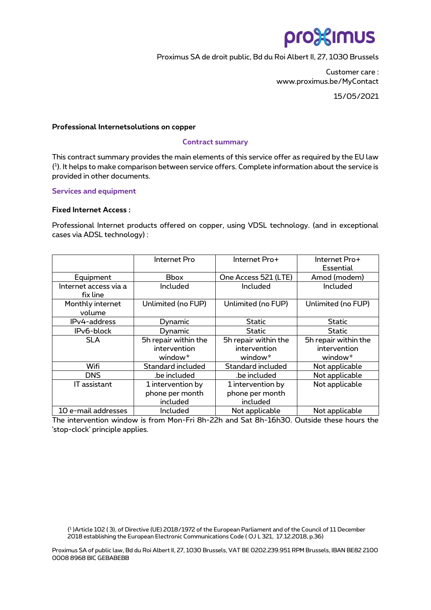# pro<sup>32</sup>imus

Proximus SA de droit public, Bd du Roi Albert II, 27, 1030 Brussels

Customer care : www.proximus.be/MyContact

15/05/2021

### **Professional Internetsolutions on copper**

#### **Contract summary**

This contract summary provides the main elements of this service offer as required by the EU law ( 1 ). It helps to make comparison between service offers. Complete information about the service is provided in other documents.

#### **Services and equipment**

#### **Fixed Internet Access :**

Professional Internet products offered on copper, using VDSL technology. (and in exceptional cases via ADSL technology) :

|                       | Internet Pro         | Internet Pro+        | Internet Pro+        |
|-----------------------|----------------------|----------------------|----------------------|
|                       |                      |                      | Essential            |
| Equipment             | <b>Bbox</b>          | One Access 521 (LTE) | Amod (modem)         |
| Internet access via a | Included             | Included             | Included             |
| fix line              |                      |                      |                      |
| Monthly internet      | Unlimited (no FUP)   | Unlimited (no FUP)   | Unlimited (no FUP)   |
| volume                |                      |                      |                      |
| IPv4-address          | Dynamic              | Static               | <b>Static</b>        |
| IPv6-block            | Dynamic              | Static               | Static               |
| <b>SLA</b>            | 5h repair within the | 5h repair within the | 5h repair within the |
|                       | intervention         | intervention         | intervention         |
|                       | window*              | window <sup>*</sup>  | window*              |
| Wifi                  | Standard included    | Standard included    | Not applicable       |
| <b>DNS</b>            | .be included         | .be included         | Not applicable       |
| <b>IT</b> assistant   | 1 intervention by    | 1 intervention by    | Not applicable       |
|                       | phone per month      | phone per month      |                      |
|                       | included             | included             |                      |
| 10 e-mail addresses   | Included             | Not applicable       | Not applicable       |

The intervention window is from Mon-Fri 8h-22h and Sat 8h-16h30. Outside these hours the 'stop-clock' principle applies.

( 1 )Article 102 ( 3), of Directive (UE) 2018/1972 of the European Parliament and of the Council of 11 December 2018 establishing the European Electronic Communications Code ( OJ L 321, 17.12.2018, p.36)

Proximus SA of public law, Bd du Roi Albert II, 27, 1030 Brussels, VAT BE 0202.239.951 RPM Brussels, IBAN BE82 2100 0008 8968 BIC GEBABEBB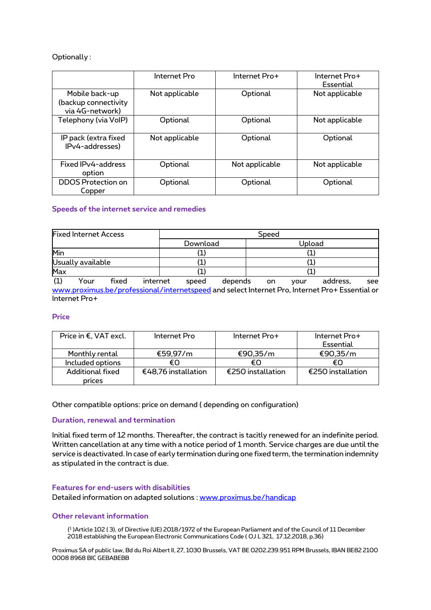## Optionally :

|                                                           | Internet Pro   | Internet Pro+  | Internet Pro+<br>Essential |
|-----------------------------------------------------------|----------------|----------------|----------------------------|
| Mobile back-up<br>(backup connectivity<br>via 4G-network) | Not applicable | Optional       | Not applicable             |
| Telephony (via VoIP)                                      | Optional       | Optional       | Not applicable             |
| IP pack (extra fixed<br>IPv4-addresses)                   | Not applicable | Optional       | Optional                   |
| Fixed IPv4-address<br>option                              | Optional       | Not applicable | Not applicable             |
| <b>DDOS</b> Protection on<br>Copper                       | Optional       | Optional       | Optional                   |

## **Speeds of the internet service and remedies**

| <b>Fixed Internet Access</b> | Speed    |        |  |
|------------------------------|----------|--------|--|
|                              | Download | Upload |  |
| Min                          |          |        |  |
| Usually available            |          |        |  |
| Max                          |          |        |  |

(1) Your fixed internet speed depends on your address, see [www.proximus.be/professional/internetspeed](http://www.proximus.be/professional/internetspeed) and select Internet Pro, Internet Pro+ Essential or Internet Pro+

## **Price**

| Price in €, VAT excl. | Internet Pro        | Internet Pro+     | Internet Pro+     |
|-----------------------|---------------------|-------------------|-------------------|
|                       |                     |                   | Essential         |
| Monthly rental        | €59.97/m            | €90,35/m          | €90,35/m          |
| Included options      | €Ω                  | €∩                | €∩                |
| Additional fixed      | €48,76 installation | €250 installation | €250 installation |
| prices                |                     |                   |                   |

Other compatible options: price on demand ( depending on configuration)

#### **Duration, renewal and termination**

Initial fixed term of 12 months. Thereafter, the contract is tacitly renewed for an indefinite period. Written cancellation at any time with a notice period of 1 month. Service charges are due until the service is deactivated. In case of early termination during one fixed term, the termination indemnity as stipulated in the contract is due.

#### **Features for end-users with disabilities**

Detailed information on adapted solutions : [www.proximus.be/handicap](http://www.proximus.be/handicap)

#### **Other relevant information**

( 1 )Article 102 ( 3), of Directive (UE) 2018/1972 of the European Parliament and of the Council of 11 December 2018 establishing the European Electronic Communications Code ( OJ L 321, 17.12.2018, p.36)

Proximus SA of public law, Bd du Roi Albert II, 27, 1030 Brussels, VAT BE 0202.239.951 RPM Brussels, IBAN BE82 2100 0008 8968 BIC GEBABEBB